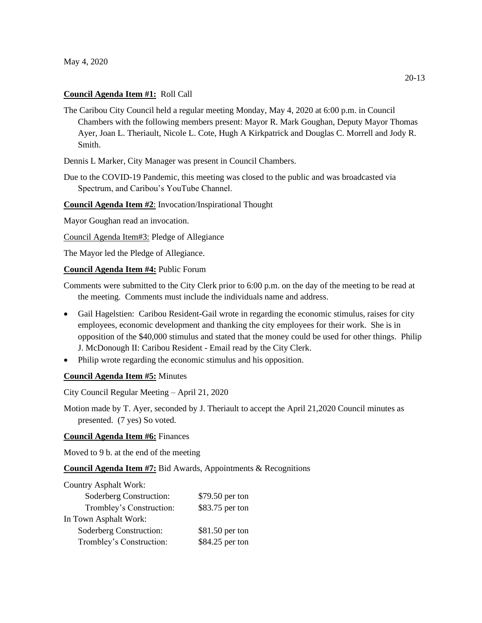#### **Council Agenda Item #1:** Roll Call

The Caribou City Council held a regular meeting Monday, May 4, 2020 at 6:00 p.m. in Council Chambers with the following members present: Mayor R. Mark Goughan, Deputy Mayor Thomas Ayer, Joan L. Theriault, Nicole L. Cote, Hugh A Kirkpatrick and Douglas C. Morrell and Jody R. Smith.

Dennis L Marker, City Manager was present in Council Chambers.

Due to the COVID-19 Pandemic, this meeting was closed to the public and was broadcasted via Spectrum, and Caribou's YouTube Channel.

## **Council Agenda Item #2**: Invocation/Inspirational Thought

Mayor Goughan read an invocation.

Council Agenda Item#3: Pledge of Allegiance

The Mayor led the Pledge of Allegiance.

## **Council Agenda Item #4:** Public Forum

Comments were submitted to the City Clerk prior to 6:00 p.m. on the day of the meeting to be read at the meeting. Comments must include the individuals name and address.

- Gail Hagelstien: Caribou Resident-Gail wrote in regarding the economic stimulus, raises for city employees, economic development and thanking the city employees for their work. She is in opposition of the \$40,000 stimulus and stated that the money could be used for other things. Philip J. McDonough II: Caribou Resident - Email read by the City Clerk.
- Philip wrote regarding the economic stimulus and his opposition.

#### **Council Agenda Item #5:** Minutes

City Council Regular Meeting – April 21, 2020

Motion made by T. Ayer, seconded by J. Theriault to accept the April 21,2020 Council minutes as presented. (7 yes) So voted.

#### **Council Agenda Item #6:** Finances

Moved to 9 b. at the end of the meeting

**Council Agenda Item #7:** Bid Awards, Appointments & Recognitions

| <b>Country Asphalt Work:</b> |                 |
|------------------------------|-----------------|
| Soderberg Construction:      | \$79.50 per ton |
| Trombley's Construction:     | \$83.75 per ton |
| In Town Asphalt Work:        |                 |
| Soderberg Construction:      | \$81.50 per ton |
| Trombley's Construction:     | \$84.25 per ton |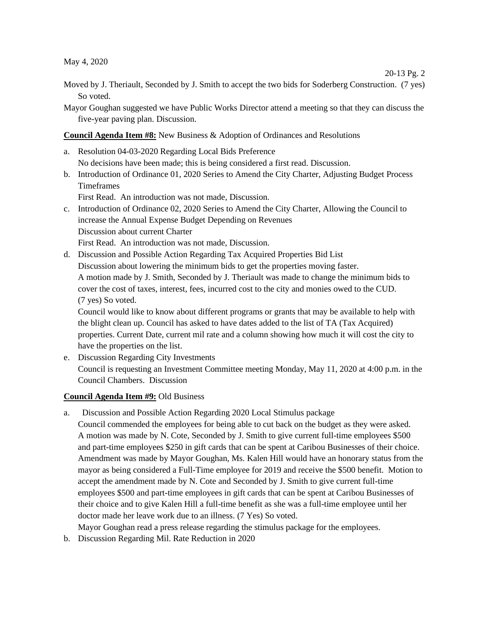May 4, 2020

Moved by J. Theriault, Seconded by J. Smith to accept the two bids for Soderberg Construction. (7 yes) So voted.

20-13 Pg. 2

Mayor Goughan suggested we have Public Works Director attend a meeting so that they can discuss the five-year paving plan. Discussion.

**Council Agenda Item #8:** New Business & Adoption of Ordinances and Resolutions

- a. Resolution 04-03-2020 Regarding Local Bids Preference No decisions have been made; this is being considered a first read. Discussion.
- b. Introduction of Ordinance 01, 2020 Series to Amend the City Charter, Adjusting Budget Process Timeframes

First Read. An introduction was not made, Discussion.

- c. Introduction of Ordinance 02, 2020 Series to Amend the City Charter, Allowing the Council to increase the Annual Expense Budget Depending on Revenues Discussion about current Charter First Read. An introduction was not made, Discussion.
- d. Discussion and Possible Action Regarding Tax Acquired Properties Bid List Discussion about lowering the minimum bids to get the properties moving faster. A motion made by J. Smith, Seconded by J. Theriault was made to change the minimum bids to cover the cost of taxes, interest, fees, incurred cost to the city and monies owed to the CUD. (7 yes) So voted.

Council would like to know about different programs or grants that may be available to help with the blight clean up. Council has asked to have dates added to the list of TA (Tax Acquired) properties. Current Date, current mil rate and a column showing how much it will cost the city to have the properties on the list.

e. Discussion Regarding City Investments Council is requesting an Investment Committee meeting Monday, May 11, 2020 at 4:00 p.m. in the Council Chambers. Discussion

## **Council Agenda Item #9:** Old Business

- a. Discussion and Possible Action Regarding 2020 Local Stimulus package Council commended the employees for being able to cut back on the budget as they were asked. A motion was made by N. Cote, Seconded by J. Smith to give current full-time employees \$500 and part-time employees \$250 in gift cards that can be spent at Caribou Businesses of their choice. Amendment was made by Mayor Goughan, Ms. Kalen Hill would have an honorary status from the mayor as being considered a Full-Time employee for 2019 and receive the \$500 benefit. Motion to accept the amendment made by N. Cote and Seconded by J. Smith to give current full-time employees \$500 and part-time employees in gift cards that can be spent at Caribou Businesses of their choice and to give Kalen Hill a full-time benefit as she was a full-time employee until her doctor made her leave work due to an illness. (7 Yes) So voted.
	- Mayor Goughan read a press release regarding the stimulus package for the employees.
- b. Discussion Regarding Mil. Rate Reduction in 2020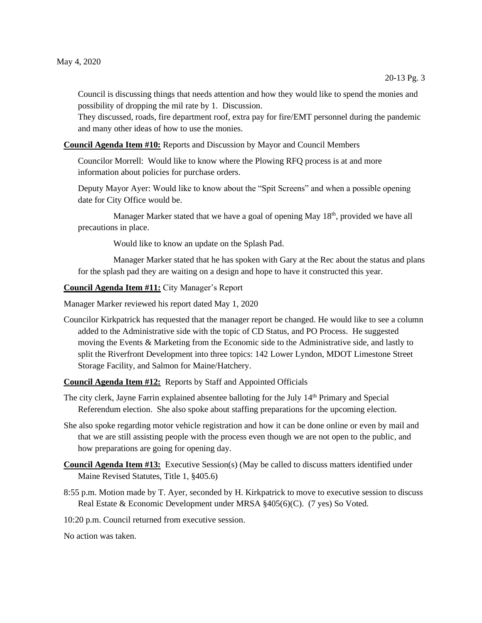Council is discussing things that needs attention and how they would like to spend the monies and possibility of dropping the mil rate by 1. Discussion.

They discussed, roads, fire department roof, extra pay for fire/EMT personnel during the pandemic and many other ideas of how to use the monies.

**Council Agenda Item #10:** Reports and Discussion by Mayor and Council Members

Councilor Morrell: Would like to know where the Plowing RFQ process is at and more information about policies for purchase orders.

Deputy Mayor Ayer: Would like to know about the "Spit Screens" and when a possible opening date for City Office would be.

Manager Marker stated that we have a goal of opening May 18<sup>th</sup>, provided we have all precautions in place.

Would like to know an update on the Splash Pad.

Manager Marker stated that he has spoken with Gary at the Rec about the status and plans for the splash pad they are waiting on a design and hope to have it constructed this year.

**Council Agenda Item #11:** City Manager's Report

Manager Marker reviewed his report dated May 1, 2020

Councilor Kirkpatrick has requested that the manager report be changed. He would like to see a column added to the Administrative side with the topic of CD Status, and PO Process. He suggested moving the Events & Marketing from the Economic side to the Administrative side, and lastly to split the Riverfront Development into three topics: 142 Lower Lyndon, MDOT Limestone Street Storage Facility, and Salmon for Maine/Hatchery.

**Council Agenda Item #12:** Reports by Staff and Appointed Officials

- The city clerk, Jayne Farrin explained absentee balloting for the July 14<sup>th</sup> Primary and Special Referendum election. She also spoke about staffing preparations for the upcoming election.
- She also spoke regarding motor vehicle registration and how it can be done online or even by mail and that we are still assisting people with the process even though we are not open to the public, and how preparations are going for opening day.
- **Council Agenda Item #13:** Executive Session(s) (May be called to discuss matters identified under Maine Revised Statutes, Title 1, §405.6)
- 8:55 p.m. Motion made by T. Ayer, seconded by H. Kirkpatrick to move to executive session to discuss Real Estate & Economic Development under MRSA §405(6)(C). (7 yes) So Voted.
- 10:20 p.m. Council returned from executive session.

No action was taken.